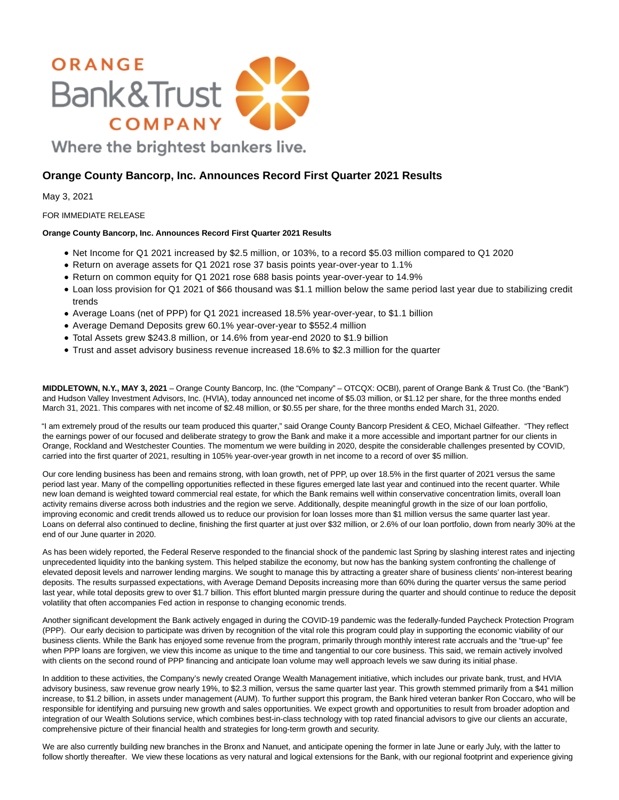

May 3, 2021

# FOR IMMEDIATE RELEASE

# **Orange County Bancorp, Inc. Announces Record First Quarter 2021 Results**

- Net Income for Q1 2021 increased by \$2.5 million, or 103%, to a record \$5.03 million compared to Q1 2020
- Return on average assets for Q1 2021 rose 37 basis points year-over-year to 1.1%

**Orange County Bancorp, Inc. Announces Record First Quarter 2021 Results**

- Return on common equity for Q1 2021 rose 688 basis points year-over-year to 14.9%
- Loan loss provision for Q1 2021 of \$66 thousand was \$1.1 million below the same period last year due to stabilizing credit trends
- Average Loans (net of PPP) for Q1 2021 increased 18.5% year-over-year, to \$1.1 billion
- Average Demand Deposits grew 60.1% year-over-year to \$552.4 million
- Total Assets grew \$243.8 million, or 14.6% from year-end 2020 to \$1.9 billion
- Trust and asset advisory business revenue increased 18.6% to \$2.3 million for the quarter

**MIDDLETOWN, N.Y., MAY 3, 2021** – Orange County Bancorp, Inc. (the "Company" – OTCQX: OCBI), parent of Orange Bank & Trust Co. (the "Bank") and Hudson Valley Investment Advisors, Inc. (HVIA), today announced net income of \$5.03 million, or \$1.12 per share, for the three months ended March 31, 2021. This compares with net income of \$2.48 million, or \$0.55 per share, for the three months ended March 31, 2020.

"I am extremely proud of the results our team produced this quarter," said Orange County Bancorp President & CEO, Michael Gilfeather. "They reflect the earnings power of our focused and deliberate strategy to grow the Bank and make it a more accessible and important partner for our clients in Orange, Rockland and Westchester Counties. The momentum we were building in 2020, despite the considerable challenges presented by COVID, carried into the first quarter of 2021, resulting in 105% year-over-year growth in net income to a record of over \$5 million.

Our core lending business has been and remains strong, with loan growth, net of PPP, up over 18.5% in the first quarter of 2021 versus the same period last year. Many of the compelling opportunities reflected in these figures emerged late last year and continued into the recent quarter. While new loan demand is weighted toward commercial real estate, for which the Bank remains well within conservative concentration limits, overall loan activity remains diverse across both industries and the region we serve. Additionally, despite meaningful growth in the size of our loan portfolio, improving economic and credit trends allowed us to reduce our provision for loan losses more than \$1 million versus the same quarter last year. Loans on deferral also continued to decline, finishing the first quarter at just over \$32 million, or 2.6% of our loan portfolio, down from nearly 30% at the end of our June quarter in 2020.

As has been widely reported, the Federal Reserve responded to the financial shock of the pandemic last Spring by slashing interest rates and injecting unprecedented liquidity into the banking system. This helped stabilize the economy, but now has the banking system confronting the challenge of elevated deposit levels and narrower lending margins. We sought to manage this by attracting a greater share of business clients' non-interest bearing deposits. The results surpassed expectations, with Average Demand Deposits increasing more than 60% during the quarter versus the same period last year, while total deposits grew to over \$1.7 billion. This effort blunted margin pressure during the quarter and should continue to reduce the deposit volatility that often accompanies Fed action in response to changing economic trends.

Another significant development the Bank actively engaged in during the COVID-19 pandemic was the federally-funded Paycheck Protection Program (PPP). Our early decision to participate was driven by recognition of the vital role this program could play in supporting the economic viability of our business clients. While the Bank has enjoyed some revenue from the program, primarily through monthly interest rate accruals and the "true-up" fee when PPP loans are forgiven, we view this income as unique to the time and tangential to our core business. This said, we remain actively involved with clients on the second round of PPP financing and anticipate loan volume may well approach levels we saw during its initial phase.

In addition to these activities, the Company's newly created Orange Wealth Management initiative, which includes our private bank, trust, and HVIA advisory business, saw revenue grow nearly 19%, to \$2.3 million, versus the same quarter last year. This growth stemmed primarily from a \$41 million increase, to \$1.2 billion, in assets under management (AUM). To further support this program, the Bank hired veteran banker Ron Coccaro, who will be responsible for identifying and pursuing new growth and sales opportunities. We expect growth and opportunities to result from broader adoption and integration of our Wealth Solutions service, which combines best-in-class technology with top rated financial advisors to give our clients an accurate, comprehensive picture of their financial health and strategies for long-term growth and security.

We are also currently building new branches in the Bronx and Nanuet, and anticipate opening the former in late June or early July, with the latter to follow shortly thereafter. We view these locations as very natural and logical extensions for the Bank, with our regional footprint and experience giving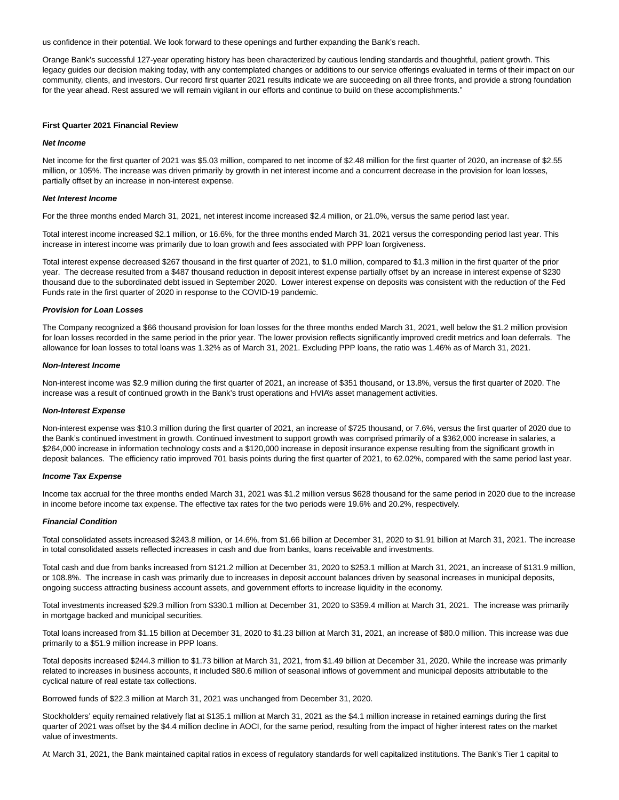us confidence in their potential. We look forward to these openings and further expanding the Bank's reach.

Orange Bank's successful 127-year operating history has been characterized by cautious lending standards and thoughtful, patient growth. This legacy guides our decision making today, with any contemplated changes or additions to our service offerings evaluated in terms of their impact on our community, clients, and investors. Our record first quarter 2021 results indicate we are succeeding on all three fronts, and provide a strong foundation for the year ahead. Rest assured we will remain vigilant in our efforts and continue to build on these accomplishments."

### **First Quarter 2021 Financial Review**

#### **Net Income**

Net income for the first quarter of 2021 was \$5.03 million, compared to net income of \$2.48 million for the first quarter of 2020, an increase of \$2.55 million, or 105%. The increase was driven primarily by growth in net interest income and a concurrent decrease in the provision for loan losses, partially offset by an increase in non-interest expense.

#### **Net Interest Income**

For the three months ended March 31, 2021, net interest income increased \$2.4 million, or 21.0%, versus the same period last year.

Total interest income increased \$2.1 million, or 16.6%, for the three months ended March 31, 2021 versus the corresponding period last year. This increase in interest income was primarily due to loan growth and fees associated with PPP loan forgiveness.

Total interest expense decreased \$267 thousand in the first quarter of 2021, to \$1.0 million, compared to \$1.3 million in the first quarter of the prior year. The decrease resulted from a \$487 thousand reduction in deposit interest expense partially offset by an increase in interest expense of \$230 thousand due to the subordinated debt issued in September 2020. Lower interest expense on deposits was consistent with the reduction of the Fed Funds rate in the first quarter of 2020 in response to the COVID-19 pandemic.

### **Provision for Loan Losses**

The Company recognized a \$66 thousand provision for loan losses for the three months ended March 31, 2021, well below the \$1.2 million provision for loan losses recorded in the same period in the prior year. The lower provision reflects significantly improved credit metrics and loan deferrals. The allowance for loan losses to total loans was 1.32% as of March 31, 2021. Excluding PPP loans, the ratio was 1.46% as of March 31, 2021.

#### **Non-Interest Income**

Non-interest income was \$2.9 million during the first quarter of 2021, an increase of \$351 thousand, or 13.8%, versus the first quarter of 2020. The increase was a result of continued growth in the Bank's trust operations and HVIA's asset management activities.

#### **Non-Interest Expense**

Non-interest expense was \$10.3 million during the first quarter of 2021, an increase of \$725 thousand, or 7.6%, versus the first quarter of 2020 due to the Bank's continued investment in growth. Continued investment to support growth was comprised primarily of a \$362,000 increase in salaries, a \$264,000 increase in information technology costs and a \$120,000 increase in deposit insurance expense resulting from the significant growth in deposit balances. The efficiency ratio improved 701 basis points during the first quarter of 2021, to 62.02%, compared with the same period last year.

### **Income Tax Expense**

Income tax accrual for the three months ended March 31, 2021 was \$1.2 million versus \$628 thousand for the same period in 2020 due to the increase in income before income tax expense. The effective tax rates for the two periods were 19.6% and 20.2%, respectively.

### **Financial Condition**

Total consolidated assets increased \$243.8 million, or 14.6%, from \$1.66 billion at December 31, 2020 to \$1.91 billion at March 31, 2021. The increase in total consolidated assets reflected increases in cash and due from banks, loans receivable and investments.

Total cash and due from banks increased from \$121.2 million at December 31, 2020 to \$253.1 million at March 31, 2021, an increase of \$131.9 million, or 108.8%. The increase in cash was primarily due to increases in deposit account balances driven by seasonal increases in municipal deposits, ongoing success attracting business account assets, and government efforts to increase liquidity in the economy.

Total investments increased \$29.3 million from \$330.1 million at December 31, 2020 to \$359.4 million at March 31, 2021. The increase was primarily in mortgage backed and municipal securities.

Total loans increased from \$1.15 billion at December 31, 2020 to \$1.23 billion at March 31, 2021, an increase of \$80.0 million. This increase was due primarily to a \$51.9 million increase in PPP loans.

Total deposits increased \$244.3 million to \$1.73 billion at March 31, 2021, from \$1.49 billion at December 31, 2020. While the increase was primarily related to increases in business accounts, it included \$80.6 million of seasonal inflows of government and municipal deposits attributable to the cyclical nature of real estate tax collections.

Borrowed funds of \$22.3 million at March 31, 2021 was unchanged from December 31, 2020.

Stockholders' equity remained relatively flat at \$135.1 million at March 31, 2021 as the \$4.1 million increase in retained earnings during the first quarter of 2021 was offset by the \$4.4 million decline in AOCI, for the same period, resulting from the impact of higher interest rates on the market value of investments.

At March 31, 2021, the Bank maintained capital ratios in excess of regulatory standards for well capitalized institutions. The Bank's Tier 1 capital to